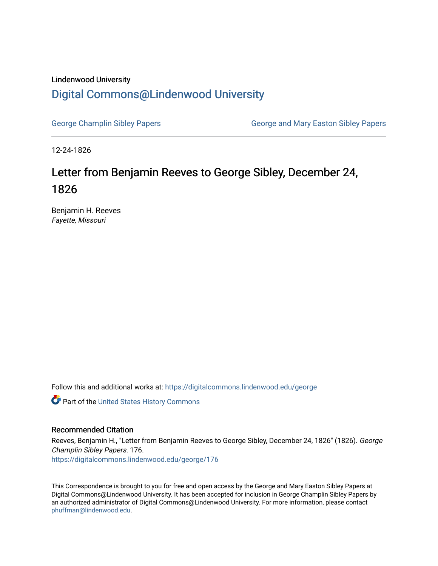## Lindenwood University

## [Digital Commons@Lindenwood University](https://digitalcommons.lindenwood.edu/)

[George Champlin Sibley Papers](https://digitalcommons.lindenwood.edu/george) George and Mary Easton Sibley Papers

12-24-1826

## Letter from Benjamin Reeves to George Sibley, December 24, 1826

Benjamin H. Reeves Fayette, Missouri

Follow this and additional works at: [https://digitalcommons.lindenwood.edu/george](https://digitalcommons.lindenwood.edu/george?utm_source=digitalcommons.lindenwood.edu%2Fgeorge%2F176&utm_medium=PDF&utm_campaign=PDFCoverPages)

Part of the [United States History Commons](http://network.bepress.com/hgg/discipline/495?utm_source=digitalcommons.lindenwood.edu%2Fgeorge%2F176&utm_medium=PDF&utm_campaign=PDFCoverPages) 

## Recommended Citation

Reeves, Benjamin H., "Letter from Benjamin Reeves to George Sibley, December 24, 1826" (1826). George Champlin Sibley Papers. 176. [https://digitalcommons.lindenwood.edu/george/176](https://digitalcommons.lindenwood.edu/george/176?utm_source=digitalcommons.lindenwood.edu%2Fgeorge%2F176&utm_medium=PDF&utm_campaign=PDFCoverPages)

This Correspondence is brought to you for free and open access by the George and Mary Easton Sibley Papers at Digital Commons@Lindenwood University. It has been accepted for inclusion in George Champlin Sibley Papers by an authorized administrator of Digital Commons@Lindenwood University. For more information, please contact [phuffman@lindenwood.edu](mailto:phuffman@lindenwood.edu).